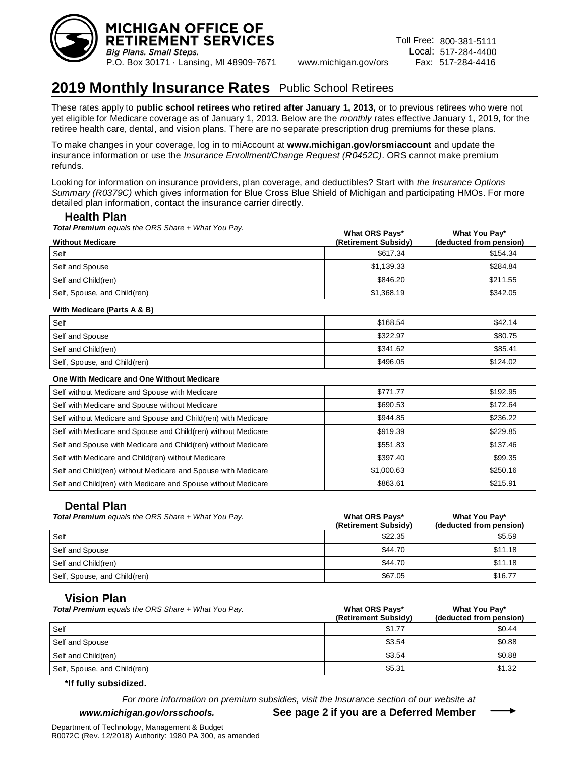

## **2019 Monthly Insurance Rates** Public School Retirees

These rates apply to **public school retirees who retired after January 1, 2013,** or to previous retirees who were not yet eligible for Medicare coverage as of January 1, 2013. Below are the *monthly* rates effective January 1, 2019, for the retiree health care, dental, and vision plans. There are no separate prescription drug premiums for these plans.

To make changes in your coverage, log in to miAccount at **www.michigan.gov/orsmiaccount** and update the insurance information or use the *Insurance Enrollment/Change Request (R0452C)*. ORS cannot make premium refunds.

Looking for information on insurance providers, plan coverage, and deductibles? Start with *the Insurance Options Summary (R0379C)* which gives information for Blue Cross Blue Shield of Michigan and participating HMOs. For more detailed plan information, contact the insurance carrier directly.

## **Health Plan**

*Total Premium equals the ORS Share + What You Pay.*

|                              | <b>What ORS Pays*</b> | What You Pay*           |
|------------------------------|-----------------------|-------------------------|
| <b>Without Medicare</b>      | (Retirement Subsidy)  | (deducted from pension) |
| Self                         | \$617.34              | \$154.34                |
| Self and Spouse              | \$1,139.33            | \$284.84                |
| Self and Child(ren)          | \$846.20              | \$211.55                |
| Self, Spouse, and Child(ren) | \$1,368.19            | \$342.05                |

## **With Medicare (Parts A & B)**

| Self                         | \$168.54 | \$42.14  |
|------------------------------|----------|----------|
| Self and Spouse              | \$322.97 | \$80.75  |
| Self and Child(ren)          | \$341.62 | \$85.41  |
| Self, Spouse, and Child(ren) | \$496.05 | \$124.02 |

# **One With Medicare and One Without Medicare**

| Self without Medicare and Spouse with Medicare                | \$771.77   | \$192.95 |
|---------------------------------------------------------------|------------|----------|
| Self with Medicare and Spouse without Medicare                | \$690.53   | \$172.64 |
| Self without Medicare and Spouse and Child(ren) with Medicare | \$944.85   | \$236.22 |
| Self with Medicare and Spouse and Child(ren) without Medicare | \$919.39   | \$229.85 |
| Self and Spouse with Medicare and Child(ren) without Medicare | \$551.83   | \$137.46 |
| Self with Medicare and Child(ren) without Medicare            | \$397.40   | \$99.35  |
| Self and Child(ren) without Medicare and Spouse with Medicare | \$1,000.63 | \$250.16 |
| Self and Child(ren) with Medicare and Spouse without Medicare | \$863.61   | \$215.91 |

## **Dental Plan**

| <b>Total Premium</b> equals the ORS Share + What You Pay. | What ORS Pays*<br>(Retirement Subsidy) | What You Pay*<br>(deducted from pension) |
|-----------------------------------------------------------|----------------------------------------|------------------------------------------|
| Self                                                      | \$22.35                                | \$5.59                                   |
| Self and Spouse                                           | \$44.70                                | \$11.18                                  |
| Self and Child(ren)                                       | \$44.70                                | \$11.18                                  |
| Self, Spouse, and Child(ren)                              | \$67.05                                | \$16.77                                  |

## **Vision Plan**

| <b>Total Premium</b> equals the ORS Share + What You Pay. | <b>What ORS Pays*</b><br>(Retirement Subsidy) | What You Pay*<br>(deducted from pension) |
|-----------------------------------------------------------|-----------------------------------------------|------------------------------------------|
| Self                                                      | \$1.77                                        | \$0.44                                   |
| Self and Spouse                                           | \$3.54                                        | \$0.88                                   |
| Self and Child(ren)                                       | \$3.54                                        | \$0.88                                   |
| Self, Spouse, and Child(ren)                              | \$5.31                                        | \$1.32                                   |

## **\*If fully subsidized.**

*For more information on premium subsidies, visit the Insurance section of our website at* 

## *www.michigan.gov/orsschools.* **See page 2 if you are a Deferred Member**

Department of Technology, Management & Budget R0072C (Rev. 12/2018) Authority: 1980 PA 300, as amended